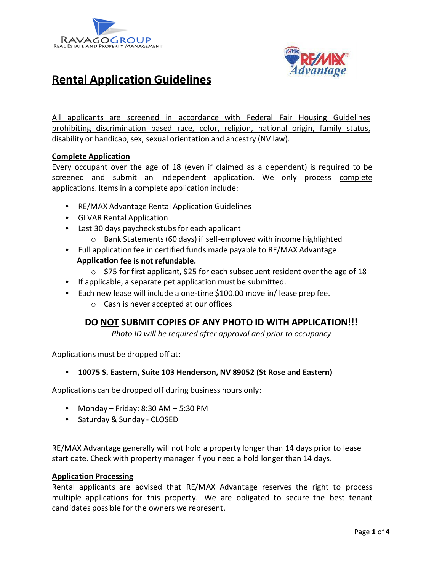



# **Rental Application Guidelines**

All applicants are screened in accordance with Federal Fair Housing Guidelines prohibiting discrimination based race, color, religion, national origin, family status, disability or handicap, sex, sexual orientation and ancestry (NV law).

## **Complete Application**

Every occupant over the age of 18 (even if claimed as a dependent) is required to be screened and submit an independent application. We only process complete applications. Items in a complete application include:

- RE/MAX Advantage Rental Application Guidelines
- GLVAR Rental Application
- Last 30 days paycheck stubs for each applicant
	- o Bank Statements (60 days) if self-employed with income highlighted
- Full application fee in certified funds made payable to RE/MAX Advantage.

#### **Application fee is not refundable.**

- $\circ$  \$75 for first applicant, \$25 for each subsequent resident over the age of 18
- If applicable, a separate pet application must be submitted.
- Each new lease will include a one-time \$100.00 move in/ lease prep fee.
	- o Cash is never accepted at our offices

## **DO NOT SUBMIT COPIES OF ANY PHOTO ID WITH APPLICATION!!!**

*Photo ID will be required after approval and prior to occupancy*

Applications must be dropped off at:

#### • **10075 S. Eastern, Suite 103 Henderson, NV 89052 (St Rose and Eastern)**

Applications can be dropped off during business hours only:

- Monday Friday: 8:30 AM 5:30 PM
- Saturday & Sunday CLOSED

RE/MAX Advantage generally will not hold a property longer than 14 days prior to lease start date. Check with property manager if you need a hold longer than 14 days.

#### **Application Processing**

Rental applicants are advised that RE/MAX Advantage reserves the right to process multiple applications for this property. We are obligated to secure the best tenant candidates possible for the owners we represent.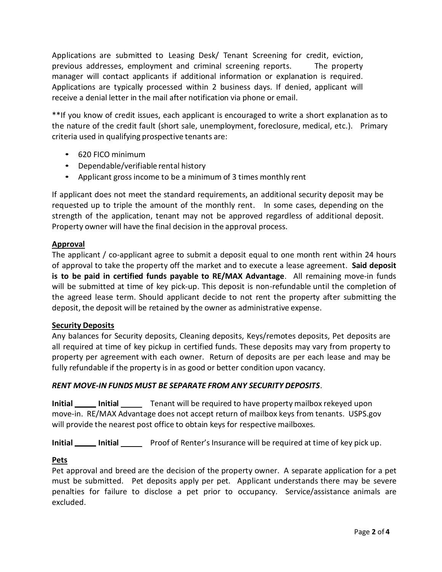Applications are submitted to Leasing Desk/ Tenant Screening for credit, eviction, previous addresses, employment and criminal screening reports. The property manager will contact applicants if additional information or explanation is required. Applications are typically processed within 2 business days. If denied, applicant will receive a denial letter in the mail after notification via phone or email.

\*\*If you know of credit issues, each applicant is encouraged to write a short explanation as to the nature of the credit fault (short sale, unemployment, foreclosure, medical, etc.). Primary criteria used in qualifying prospective tenants are:

- 620 FICO minimum
- Dependable/verifiable rental history
- Applicant gross income to be a minimum of 3 times monthly rent

If applicant does not meet the standard requirements, an additional security deposit may be requested up to triple the amount of the monthly rent. In some cases, depending on the strength of the application, tenant may not be approved regardless of additional deposit. Property owner will have the final decision in the approval process.

## **Approval**

The applicant / co-applicant agree to submit a deposit equal to one month rent within 24 hours of approval to take the property off the market and to execute a lease agreement. **Said deposit is to be paid in certified funds payable to RE/MAX Advantage**. All remaining move-in funds will be submitted at time of key pick-up. This deposit is non-refundable until the completion of the agreed lease term. Should applicant decide to not rent the property after submitting the deposit, the deposit will be retained by the owner as administrative expense.

#### **Security Deposits**

Any balances for Security deposits, Cleaning deposits, Keys/remotes deposits, Pet deposits are all required at time of key pickup in certified funds. These deposits may vary from property to property per agreement with each owner. Return of deposits are per each lease and may be fully refundable if the property is in as good or better condition upon vacancy.

#### *RENT MOVE-IN FUNDS MUST BE SEPARATE FROM ANY SECURITY DEPOSITS.*

**Initial Initial** Tenant will be required to have property mailbox rekeyed upon move-in. RE/MAX Advantage does not accept return of mailbox keys from tenants. USPS.gov will provide the nearest post office to obtain keys for respective mailboxes.

**Initial Initial** Proof of Renter's Insurance will be required at time of key pick up.

#### **Pets**

Pet approval and breed are the decision of the property owner. A separate application for a pet must be submitted. Pet deposits apply per pet. Applicant understands there may be severe penalties for failure to disclose a pet prior to occupancy. Service/assistance animals are excluded.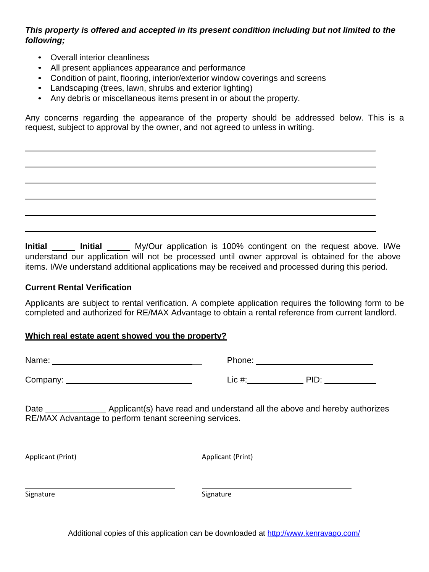## *This property is offered and accepted in its present condition including but not limited to the following;*

- Overall interior cleanliness
- All present appliances appearance and performance
- Condition of paint, flooring, interior/exterior window coverings and screens
- Landscaping (trees, lawn, shrubs and exterior lighting)
- Any debris or miscellaneous items present in or about the property.

Any concerns regarding the appearance of the property should be addressed below. This is a request, subject to approval by the owner, and not agreed to unless in writing.

**Initial Initial My/Our application is 100% contingent on the request above. I/We** understand our application will not be processed until owner approval is obtained for the above items. I/We understand additional applications may be received and processed during this period.

## **Current Rental Verification**

Applicants are subject to rental verification. A complete application requires the following form to be completed and authorized for RE/MAX Advantage to obtain a rental reference from current landlord.

## **Which real estate agent showed you the property?**

Name: Phone: Phone: Phone: Phone: Phone: Phone: Phone: Phone: Phone: Phone: Phone: Phone: Phone: Phone: Phone: Phone: Phone: Phone: Phone: Phone: Phone: Phone: Phone: Phone: Phone: Phone: Phone: Phone: Phone: Phone: Phone:

Company: Lic #: PID:

| Phone: |  |
|--------|--|
|        |  |

Date **Applicant(s)** have read and understand all the above and hereby authorizes RE/MAX Advantage to perform tenant screening services.

Applicant (Print) Applicant (Print)

Signature Signature Signature Signature Signature Signature Signature Signature Signature Signature Signature

Additional copies of this application can be downloaded at<http://www.kenravago.com/>